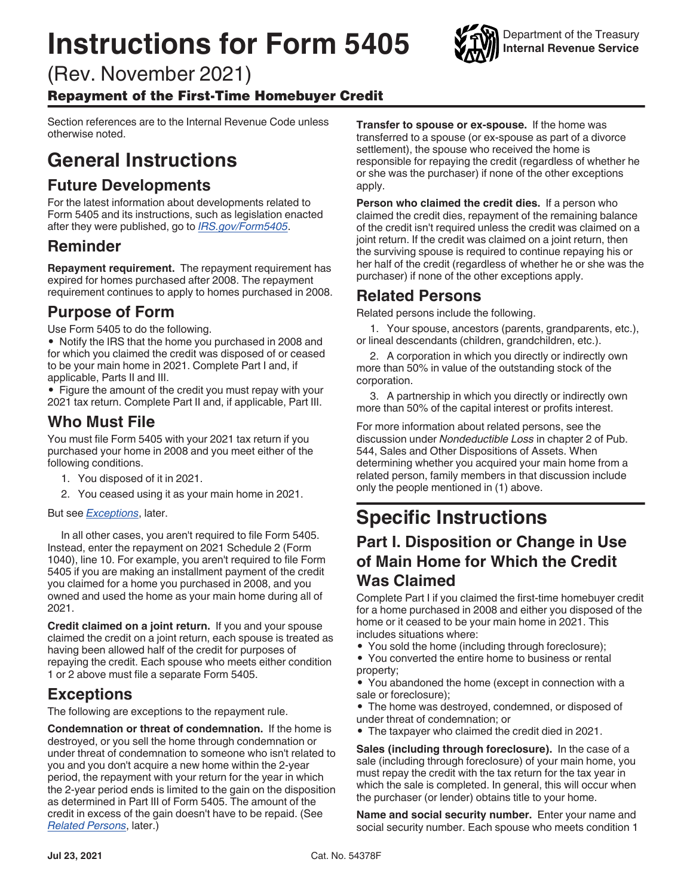# <span id="page-0-0"></span>**Instructions for Form 5405**

(Rev. November 2021)

Repayment of the First-Time Homebuyer Credit

Section references are to the Internal Revenue Code unless otherwise noted.

# **General Instructions**

## **Future Developments**

For the latest information about developments related to Form 5405 and its instructions, such as legislation enacted after they were published, go to *[IRS.gov/Form5405](https://www.irs.gov/form5405)*.

#### **Reminder**

**Repayment requirement.** The repayment requirement has expired for homes purchased after 2008. The repayment requirement continues to apply to homes purchased in 2008.

## **Purpose of Form**

Use Form 5405 to do the following.

• Notify the IRS that the home you purchased in 2008 and for which you claimed the credit was disposed of or ceased to be your main home in 2021. Complete Part I and, if applicable, Parts II and III.

• Figure the amount of the credit you must repay with your 2021 tax return. Complete Part II and, if applicable, Part III.

# **Who Must File**

You must file Form 5405 with your 2021 tax return if you purchased your home in 2008 and you meet either of the following conditions.

- 1. You disposed of it in 2021.
- 2. You ceased using it as your main home in 2021.

But see *Exceptions*, later.

In all other cases, you aren't required to file Form 5405. Instead, enter the repayment on 2021 Schedule 2 (Form 1040), line 10. For example, you aren't required to file Form 5405 if you are making an installment payment of the credit you claimed for a home you purchased in 2008, and you owned and used the home as your main home during all of 2021.

**Credit claimed on a joint return.** If you and your spouse claimed the credit on a joint return, each spouse is treated as having been allowed half of the credit for purposes of repaying the credit. Each spouse who meets either condition 1 or 2 above must file a separate Form 5405.

#### **Exceptions**

The following are exceptions to the repayment rule.

**Condemnation or threat of condemnation.** If the home is destroyed, or you sell the home through condemnation or under threat of condemnation to someone who isn't related to you and you don't acquire a new home within the 2-year period, the repayment with your return for the year in which the 2-year period ends is limited to the gain on the disposition as determined in Part III of Form 5405. The amount of the credit in excess of the gain doesn't have to be repaid. (See *Related Persons*, later.)

**Transfer to spouse or ex-spouse.** If the home was transferred to a spouse (or ex-spouse as part of a divorce settlement), the spouse who received the home is responsible for repaying the credit (regardless of whether he or she was the purchaser) if none of the other exceptions apply.

**Person who claimed the credit dies.** If a person who claimed the credit dies, repayment of the remaining balance of the credit isn't required unless the credit was claimed on a joint return. If the credit was claimed on a joint return, then the surviving spouse is required to continue repaying his or her half of the credit (regardless of whether he or she was the purchaser) if none of the other exceptions apply.

#### **Related Persons**

Related persons include the following.

1. Your spouse, ancestors (parents, grandparents, etc.), or lineal descendants (children, grandchildren, etc.).

2. A corporation in which you directly or indirectly own more than 50% in value of the outstanding stock of the corporation.

3. A partnership in which you directly or indirectly own more than 50% of the capital interest or profits interest.

For more information about related persons, see the discussion under *Nondeductible Loss* in chapter 2 of Pub. 544, Sales and Other Dispositions of Assets. When determining whether you acquired your main home from a related person, family members in that discussion include only the people mentioned in (1) above.

# **Specific Instructions**

# **Part I. Disposition or Change in Use of Main Home for Which the Credit Was Claimed**

Complete Part I if you claimed the first-time homebuyer credit for a home purchased in 2008 and either you disposed of the home or it ceased to be your main home in 2021. This includes situations where:

- You sold the home (including through foreclosure);
- You converted the entire home to business or rental property;
- You abandoned the home (except in connection with a sale or foreclosure);
- The home was destroyed, condemned, or disposed of under threat of condemnation; or
- The taxpayer who claimed the credit died in 2021.

**Sales (including through foreclosure).** In the case of a sale (including through foreclosure) of your main home, you must repay the credit with the tax return for the tax year in which the sale is completed. In general, this will occur when the purchaser (or lender) obtains title to your home.

**Name and social security number.** Enter your name and social security number. Each spouse who meets condition 1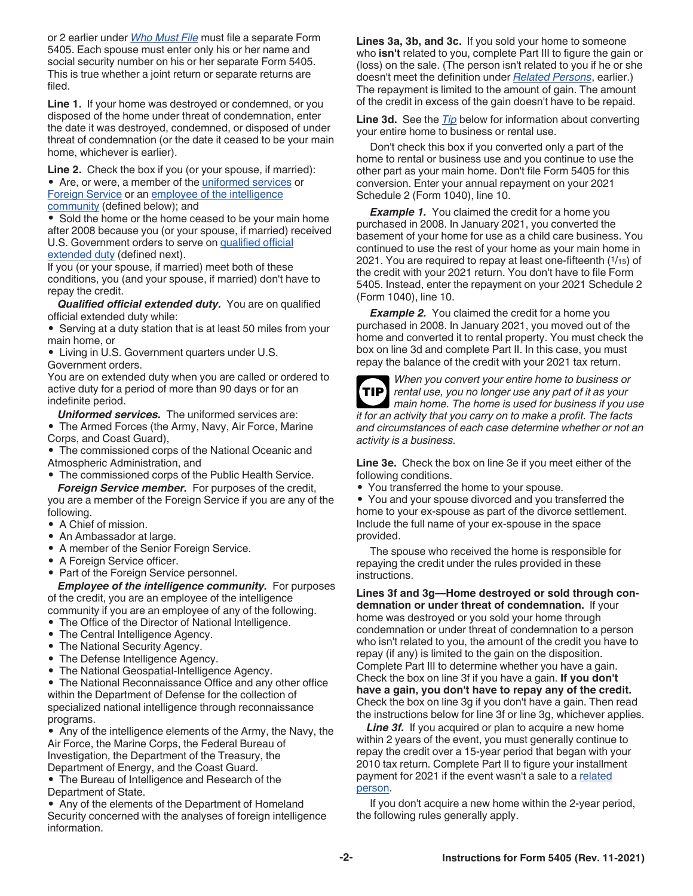<span id="page-1-0"></span>or 2 earlier under *[Who Must File](#page-0-0)* must file a separate Form 5405. Each spouse must enter only his or her name and social security number on his or her separate Form 5405. This is true whether a joint return or separate returns are filed.

**Line 1.** If your home was destroyed or condemned, or you disposed of the home under threat of condemnation, enter the date it was destroyed, condemned, or disposed of under threat of condemnation (or the date it ceased to be your main home, whichever is earlier).

**Line 2.** Check the box if you (or your spouse, if married): • Are, or were, a member of the uniformed services or Foreign Service or an employee of the intelligence community (defined below); and

• Sold the home or the home ceased to be your main home after 2008 because you (or your spouse, if married) received U.S. Government orders to serve on qualified official <u>extended duty</u> (defined next).

If you (or your spouse, if married) meet both of these conditions, you (and your spouse, if married) don't have to repay the credit.

*Qualified official extended duty.* You are on qualified official extended duty while:

• Serving at a duty station that is at least 50 miles from your main home, or

• Living in U.S. Government quarters under U.S.

Government orders.

You are on extended duty when you are called or ordered to active duty for a period of more than 90 days or for an indefinite period.

*Uniformed services.* The uniformed services are: • The Armed Forces (the Army, Navy, Air Force, Marine Corps, and Coast Guard),

• The commissioned corps of the National Oceanic and Atmospheric Administration, and

• The commissioned corps of the Public Health Service.

*Foreign Service member.* For purposes of the credit, you are a member of the Foreign Service if you are any of the following.

- A Chief of mission.
- An Ambassador at large.
- A member of the Senior Foreign Service.
- A Foreign Service officer.
- Part of the Foreign Service personnel.

*Employee of the intelligence community.* For purposes of the credit, you are an employee of the intelligence community if you are an employee of any of the following.

- The Office of the Director of National Intelligence.
- The Central Intelligence Agency.
- The National Security Agency.
- The Defense Intelligence Agency.
- The National Geospatial-Intelligence Agency.

• The National Reconnaissance Office and any other office within the Department of Defense for the collection of specialized national intelligence through reconnaissance programs.

• Any of the intelligence elements of the Army, the Navy, the Air Force, the Marine Corps, the Federal Bureau of Investigation, the Department of the Treasury, the Department of Energy, and the Coast Guard.

• The Bureau of Intelligence and Research of the Department of State.

• Any of the elements of the Department of Homeland Security concerned with the analyses of foreign intelligence information.

**Lines 3a, 3b, and 3c.** If you sold your home to someone who **isn't** related to you, complete Part III to figure the gain or (loss) on the sale. (The person isn't related to you if he or she doesn't meet the definition under *[Related Persons](#page-0-0)*, earlier.) The repayment is limited to the amount of gain. The amount of the credit in excess of the gain doesn't have to be repaid.

**Line 3d.** See the *Tip* below for information about converting your entire home to business or rental use.

Don't check this box if you converted only a part of the home to rental or business use and you continue to use the other part as your main home. Don't file Form 5405 for this conversion. Enter your annual repayment on your 2021 Schedule 2 (Form 1040), line 10.

**Example 1.** You claimed the credit for a home you purchased in 2008. In January 2021, you converted the basement of your home for use as a child care business. You continued to use the rest of your home as your main home in 2021. You are required to repay at least one-fifteenth (1/15) of the credit with your 2021 return. You don't have to file Form 5405. Instead, enter the repayment on your 2021 Schedule 2 (Form 1040), line 10.

*Example 2.* You claimed the credit for a home you purchased in 2008. In January 2021, you moved out of the home and converted it to rental property. You must check the box on line 3d and complete Part II. In this case, you must repay the balance of the credit with your 2021 tax return.



*When you convert your entire home to business or rental use, you no longer use any part of it as your*  **TIP** *main home. The home is used for business if you use it for an activity that you carry on to make a profit. The facts and circumstances of each case determine whether or not an* 

*activity is a business.* **Line 3e.** Check the box on line 3e if you meet either of the

following conditions. • You transferred the home to your spouse.

• You and your spouse divorced and you transferred the home to your ex-spouse as part of the divorce settlement. Include the full name of your ex-spouse in the space provided.

The spouse who received the home is responsible for repaying the credit under the rules provided in these instructions.

**Lines 3f and 3g—Home destroyed or sold through condemnation or under threat of condemnation.** If your home was destroyed or you sold your home through condemnation or under threat of condemnation to a person who isn't related to you, the amount of the credit you have to repay (if any) is limited to the gain on the disposition. Complete Part III to determine whether you have a gain. Check the box on line 3f if you have a gain. **If you don't have a gain, you don't have to repay any of the credit.**  Check the box on line 3g if you don't have a gain. Then read the instructions below for line 3f or line 3g, whichever applies.

Line 3f. If you acquired or plan to acquire a new home within 2 years of the event, you must generally continue to repay the credit over a 15-year period that began with your 2010 tax return. Complete Part II to figure your installment payment for 2021 if the event wasn't a sale to a [related](#page-0-0) [person](#page-0-0).

If you don't acquire a new home within the 2-year period, the following rules generally apply.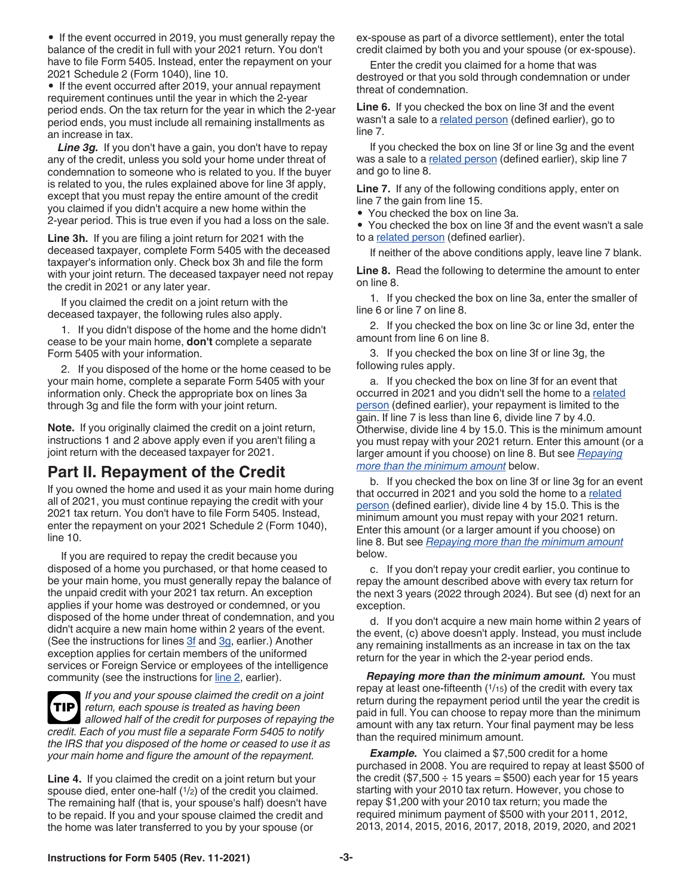• If the event occurred in 2019, you must generally repay the balance of the credit in full with your 2021 return. You don't have to file Form 5405. Instead, enter the repayment on your 2021 Schedule 2 (Form 1040), line 10.

• If the event occurred after 2019, your annual repayment requirement continues until the year in which the 2-year period ends. On the tax return for the year in which the 2-year period ends, you must include all remaining installments as an increase in tax.

*Line 3g.* If you don't have a gain, you don't have to repay any of the credit, unless you sold your home under threat of condemnation to someone who is related to you. If the buyer is related to you, the rules explained above for line 3f apply, except that you must repay the entire amount of the credit you claimed if you didn't acquire a new home within the 2-year period. This is true even if you had a loss on the sale.

**Line 3h.** If you are filing a joint return for 2021 with the deceased taxpayer, complete Form 5405 with the deceased taxpayer's information only. Check box 3h and file the form with your joint return. The deceased taxpayer need not repay the credit in 2021 or any later year.

If you claimed the credit on a joint return with the deceased taxpayer, the following rules also apply.

1. If you didn't dispose of the home and the home didn't cease to be your main home, **don't** complete a separate Form 5405 with your information.

2. If you disposed of the home or the home ceased to be your main home, complete a separate Form 5405 with your information only. Check the appropriate box on lines 3a through 3g and file the form with your joint return.

**Note.** If you originally claimed the credit on a joint return, instructions 1 and 2 above apply even if you aren't filing a joint return with the deceased taxpayer for 2021.

# **Part II. Repayment of the Credit**

If you owned the home and used it as your main home during all of 2021, you must continue repaying the credit with your 2021 tax return. You don't have to file Form 5405. Instead, enter the repayment on your 2021 Schedule 2 (Form 1040), line 10.

If you are required to repay the credit because you disposed of a home you purchased, or that home ceased to be your main home, you must generally repay the balance of the unpaid credit with your 2021 tax return. An exception applies if your home was destroyed or condemned, or you disposed of the home under threat of condemnation, and you didn't acquire a new main home within 2 years of the event. (See the instructions for lines  $3f$  and  $3g$ , earlier.) Another exception applies for certain members of the uniformed services or Foreign Service or employees of the intelligence community (see the instructions for [line 2](#page-1-0), earlier).



*If you and your spouse claimed the credit on a joint return, each spouse is treated as having been*  **TIP** *allowed half of the credit for purposes of repaying the credit. Each of you must file a separate Form 5405 to notify the IRS that you disposed of the home or ceased to use it as your main home and figure the amount of the repayment.*

**Line 4.** If you claimed the credit on a joint return but your spouse died, enter one-half (1/2) of the credit you claimed. The remaining half (that is, your spouse's half) doesn't have to be repaid. If you and your spouse claimed the credit and the home was later transferred to you by your spouse (or

ex-spouse as part of a divorce settlement), enter the total credit claimed by both you and your spouse (or ex-spouse).

Enter the credit you claimed for a home that was destroyed or that you sold through condemnation or under threat of condemnation.

**Line 6.** If you checked the box on line 3f and the event wasn't a sale to a [related person](#page-0-0) (defined earlier), go to line 7.

If you checked the box on line 3f or line 3g and the event was a sale to a [related person](#page-0-0) (defined earlier), skip line 7 and go to line 8.

**Line 7.** If any of the following conditions apply, enter on line 7 the gain from line 15.

• You checked the box on line 3a.

• You checked the box on line 3f and the event wasn't a sale to a [related person](#page-0-0) (defined earlier).

If neither of the above conditions apply, leave line 7 blank.

Line 8. Read the following to determine the amount to enter on line 8.

1. If you checked the box on line 3a, enter the smaller of line 6 or line 7 on line 8.

2. If you checked the box on line 3c or line 3d, enter the amount from line 6 on line 8.

3. If you checked the box on line 3f or line 3g, the following rules apply.

a. If you checked the box on line 3f for an event that occurred in 2021 and you didn't sell the home to a [related](#page-0-0)  [person](#page-0-0) (defined earlier), your repayment is limited to the gain. If line 7 is less than line 6, divide line 7 by 4.0. Otherwise, divide line 4 by 15.0. This is the minimum amount you must repay with your 2021 return. Enter this amount (or a larger amount if you choose) on line 8. But see *Repaying more than the minimum amount* below.

b. If you checked the box on line 3f or line 3g for an event that occurred in 2021 and you sold the home to a [related](#page-0-0) [person](#page-0-0) (defined earlier), divide line 4 by 15.0. This is the minimum amount you must repay with your 2021 return. Enter this amount (or a larger amount if you choose) on line 8. But see *Repaying more than the minimum amount*  below.

c. If you don't repay your credit earlier, you continue to repay the amount described above with every tax return for the next 3 years (2022 through 2024). But see (d) next for an exception.

d. If you don't acquire a new main home within 2 years of the event, (c) above doesn't apply. Instead, you must include any remaining installments as an increase in tax on the tax return for the year in which the 2-year period ends.

*Repaying more than the minimum amount.* You must repay at least one-fifteenth  $(1/15)$  of the credit with every tax return during the repayment period until the year the credit is paid in full. You can choose to repay more than the minimum amount with any tax return. Your final payment may be less than the required minimum amount.

**Example.** You claimed a \$7,500 credit for a home purchased in 2008. You are required to repay at least \$500 of the credit (\$7,500  $\div$  15 years = \$500) each year for 15 years starting with your 2010 tax return. However, you chose to repay \$1,200 with your 2010 tax return; you made the required minimum payment of \$500 with your 2011, 2012, 2013, 2014, 2015, 2016, 2017, 2018, 2019, 2020, and 2021